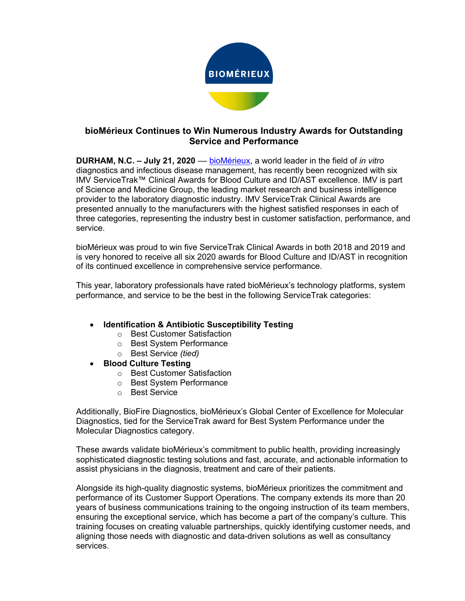

## **bioMérieux Continues to Win Numerous Industry Awards for Outstanding Service and Performance**

**DURHAM, N.C. – July 21, 2020** –– bioMérieux, a world leader in the field of *in vitro* diagnostics and infectious disease management, has recently been recognized with six IMV ServiceTrak™ Clinical Awards for Blood Culture and ID/AST excellence. IMV is part of Science and Medicine Group, the leading market research and business intelligence provider to the laboratory diagnostic industry. IMV ServiceTrak Clinical Awards are presented annually to the manufacturers with the highest satisfied responses in each of three categories, representing the industry best in customer satisfaction, performance, and service.

bioMérieux was proud to win five ServiceTrak Clinical Awards in both 2018 and 2019 and is very honored to receive all six 2020 awards for Blood Culture and ID/AST in recognition of its continued excellence in comprehensive service performance.

This year, laboratory professionals have rated bioMérieux's technology platforms, system performance, and service to be the best in the following ServiceTrak categories:

## • **Identification & Antibiotic Susceptibility Testing**

- o Best Customer Satisfaction
- o Best System Performance
- o Best Service *(tied)*
- **Blood Culture Testing**
	- o Best Customer Satisfaction
	- o Best System Performance
	- o Best Service

Additionally, BioFire Diagnostics, bioMérieux's Global Center of Excellence for Molecular Diagnostics, tied for the ServiceTrak award for Best System Performance under the Molecular Diagnostics category.

These awards validate bioMérieux's commitment to public health, providing increasingly sophisticated diagnostic testing solutions and fast, accurate, and actionable information to assist physicians in the diagnosis, treatment and care of their patients.

Alongside its high-quality diagnostic systems, bioMérieux prioritizes the commitment and performance of its Customer Support Operations. The company extends its more than 20 years of business communications training to the ongoing instruction of its team members, ensuring the exceptional service, which has become a part of the company's culture. This training focuses on creating valuable partnerships, quickly identifying customer needs, and aligning those needs with diagnostic and data-driven solutions as well as consultancy services.